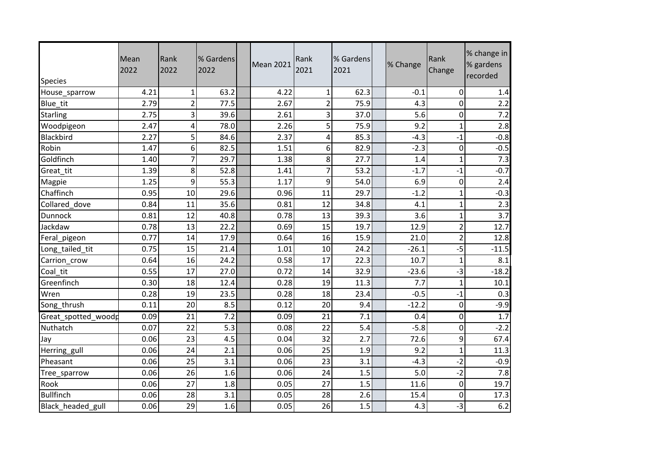| <b>Species</b>      | Mean<br>2022 | Rank<br>2022            | % Gardens<br>2022 | <b>Mean 2021</b> | Rank<br>2021   | % Gardens<br>2021 | % Change | Rank<br>Change | % change in<br>% gardens<br>recorded |
|---------------------|--------------|-------------------------|-------------------|------------------|----------------|-------------------|----------|----------------|--------------------------------------|
| House_sparrow       | 4.21         | $\mathbf{1}$            | 63.2              | 4.22             | 1              | 62.3              | $-0.1$   | 0              | 1.4                                  |
| Blue_tit            | 2.79         | $\overline{2}$          | 77.5              | 2.67             | $\overline{2}$ | 75.9              | 4.3      | 0              | 2.2                                  |
| <b>Starling</b>     | 2.75         | 3                       | 39.6              | 2.61             | 3              | 37.0              | 5.6      | 0              | 7.2                                  |
| Woodpigeon          | 2.47         | $\overline{\mathbf{4}}$ | 78.0              | 2.26             | 5              | 75.9              | 9.2      | 1              | 2.8                                  |
| Blackbird           | 2.27         | 5                       | 84.6              | 2.37             | 4              | 85.3              | $-4.3$   | $-1$           | $-0.8$                               |
| Robin               | 1.47         | 6                       | 82.5              | 1.51             | 6              | 82.9              | $-2.3$   | $\mathbf 0$    | $-0.5$                               |
| Goldfinch           | 1.40         | $\overline{7}$          | 29.7              | 1.38             | 8 <sup>1</sup> | 27.7              | 1.4      | 1              | 7.3                                  |
| Great_tit           | 1.39         | 8                       | 52.8              | 1.41             | 7              | 53.2              | $-1.7$   | $-1$           | $-0.7$                               |
| Magpie              | 1.25         | 9                       | 55.3              | 1.17             | 9              | 54.0              | 6.9      | 0              | 2.4                                  |
| Chaffinch           | 0.95         | 10                      | 29.6              | 0.96             | 11             | 29.7              | $-1.2$   | 1              | $-0.3$                               |
| Collared dove       | 0.84         | 11                      | 35.6              | 0.81             | 12             | 34.8              | 4.1      | $\mathbf{1}$   | 2.3                                  |
| <b>Dunnock</b>      | 0.81         | 12                      | 40.8              | 0.78             | 13             | 39.3              | 3.6      | $\mathbf 1$    | 3.7                                  |
| Jackdaw             | 0.78         | 13                      | 22.2              | 0.69             | 15             | 19.7              | 12.9     | $\overline{2}$ | 12.7                                 |
| Feral_pigeon        | 0.77         | 14                      | 17.9              | 0.64             | 16             | 15.9              | 21.0     | $\overline{2}$ | 12.8                                 |
| Long_tailed_tit     | 0.75         | 15                      | 21.4              | 1.01             | 10             | 24.2              | $-26.1$  | $-5$           | $-11.5$                              |
| Carrion_crow        | 0.64         | 16                      | 24.2              | 0.58             | 17             | 22.3              | 10.7     | 1              | 8.1                                  |
| Coal tit            | 0.55         | 17                      | 27.0              | 0.72             | 14             | 32.9              | $-23.6$  | $-3$           | $-18.2$                              |
| Greenfinch          | 0.30         | 18                      | 12.4              | 0.28             | 19             | 11.3              | 7.7      | $\mathbf{1}$   | 10.1                                 |
| Wren                | 0.28         | 19                      | 23.5              | 0.28             | 18             | 23.4              | $-0.5$   | $-1$           | 0.3                                  |
| Song_thrush         | 0.11         | 20                      | 8.5               | 0.12             | 20             | 9.4               | $-12.2$  | 0              | $-9.9$                               |
| Great_spotted_woodp | 0.09         | 21                      | 7.2               | 0.09             | 21             | 7.1               | 0.4      | 0              | 1.7                                  |
| Nuthatch            | 0.07         | 22                      | 5.3               | 0.08             | 22             | 5.4               | $-5.8$   | 0              | $-2.2$                               |
| Jay                 | 0.06         | 23                      | 4.5               | 0.04             | 32             | 2.7               | 72.6     | 9              | 67.4                                 |
| Herring_gull        | 0.06         | 24                      | 2.1               | 0.06             | 25             | 1.9               | 9.2      | 1              | 11.3                                 |
| Pheasant            | 0.06         | 25                      | 3.1               | 0.06             | 23             | 3.1               | $-4.3$   | $-2$           | $-0.9$                               |
| Tree_sparrow        | 0.06         | 26                      | 1.6               | 0.06             | 24             | 1.5               | 5.0      | $-2$           | 7.8                                  |
| Rook                | 0.06         | 27                      | 1.8               | 0.05             | 27             | 1.5               | 11.6     | 0              | 19.7                                 |
| <b>Bullfinch</b>    | 0.06         | 28                      | 3.1               | 0.05             | 28             | 2.6               | 15.4     | 0              | 17.3                                 |
| Black_headed_gull   | 0.06         | 29                      | 1.6               | 0.05             | 26             | 1.5               | 4.3      | $-3$           | $\overline{6.2}$                     |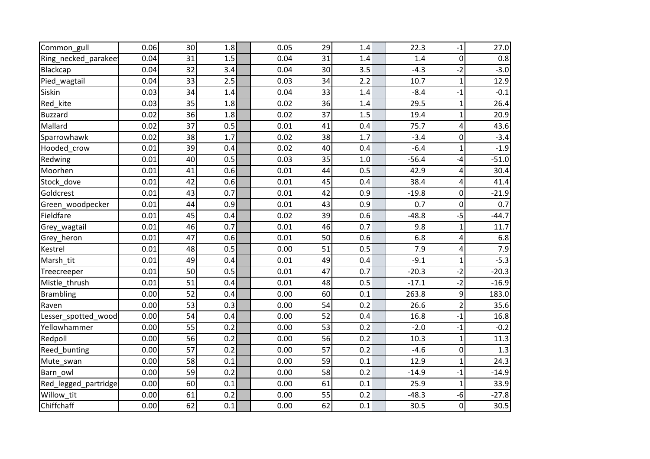| Common_gull          | 0.06 | 30 | 1.8 | 0.05 | 29 | 1.4 | 22.3    | $-1$           | 27.0    |
|----------------------|------|----|-----|------|----|-----|---------|----------------|---------|
| Ring_necked_parakee  | 0.04 | 31 | 1.5 | 0.04 | 31 | 1.4 | 1.4     | $\pmb{0}$      | 0.8     |
| Blackcap             | 0.04 | 32 | 3.4 | 0.04 | 30 | 3.5 | $-4.3$  | $-2$           | $-3.0$  |
| Pied_wagtail         | 0.04 | 33 | 2.5 | 0.03 | 34 | 2.2 | 10.7    | $\mathbf{1}$   | 12.9    |
| Siskin               | 0.03 | 34 | 1.4 | 0.04 | 33 | 1.4 | $-8.4$  | $-1$           | $-0.1$  |
| Red_kite             | 0.03 | 35 | 1.8 | 0.02 | 36 | 1.4 | 29.5    | $\mathbf{1}$   | 26.4    |
| <b>Buzzard</b>       | 0.02 | 36 | 1.8 | 0.02 | 37 | 1.5 | 19.4    | 1              | 20.9    |
| Mallard              | 0.02 | 37 | 0.5 | 0.01 | 41 | 0.4 | 75.7    | 4              | 43.6    |
| Sparrowhawk          | 0.02 | 38 | 1.7 | 0.02 | 38 | 1.7 | $-3.4$  | 0              | $-3.4$  |
| Hooded crow          | 0.01 | 39 | 0.4 | 0.02 | 40 | 0.4 | $-6.4$  | $\mathbf{1}$   | $-1.9$  |
| Redwing              | 0.01 | 40 | 0.5 | 0.03 | 35 | 1.0 | $-56.4$ | $-4$           | $-51.0$ |
| Moorhen              | 0.01 | 41 | 0.6 | 0.01 | 44 | 0.5 | 42.9    | 4              | 30.4    |
| Stock dove           | 0.01 | 42 | 0.6 | 0.01 | 45 | 0.4 | 38.4    | 4              | 41.4    |
| Goldcrest            | 0.01 | 43 | 0.7 | 0.01 | 42 | 0.9 | $-19.8$ | 0              | $-21.9$ |
| Green_woodpecker     | 0.01 | 44 | 0.9 | 0.01 | 43 | 0.9 | 0.7     | 0              | 0.7     |
| Fieldfare            | 0.01 | 45 | 0.4 | 0.02 | 39 | 0.6 | $-48.8$ | $-5$           | $-44.7$ |
| Grey_wagtail         | 0.01 | 46 | 0.7 | 0.01 | 46 | 0.7 | 9.8     | 1              | 11.7    |
| Grey_heron           | 0.01 | 47 | 0.6 | 0.01 | 50 | 0.6 | 6.8     | 4              | 6.8     |
| Kestrel              | 0.01 | 48 | 0.5 | 0.00 | 51 | 0.5 | 7.9     | 4              | 7.9     |
| Marsh tit            | 0.01 | 49 | 0.4 | 0.01 | 49 | 0.4 | $-9.1$  | $\mathbf{1}$   | $-5.3$  |
| Treecreeper          | 0.01 | 50 | 0.5 | 0.01 | 47 | 0.7 | $-20.3$ | $-2$           | $-20.3$ |
| Mistle thrush        | 0.01 | 51 | 0.4 | 0.01 | 48 | 0.5 | $-17.1$ | $-2$           | $-16.9$ |
| <b>Brambling</b>     | 0.00 | 52 | 0.4 | 0.00 | 60 | 0.1 | 263.8   | 9              | 183.0   |
| Raven                | 0.00 | 53 | 0.3 | 0.00 | 54 | 0.2 | 26.6    | $\overline{2}$ | 35.6    |
| Lesser_spotted_wood  | 0.00 | 54 | 0.4 | 0.00 | 52 | 0.4 | 16.8    | $-1$           | 16.8    |
| Yellowhammer         | 0.00 | 55 | 0.2 | 0.00 | 53 | 0.2 | $-2.0$  | $-1$           | $-0.2$  |
| Redpoll              | 0.00 | 56 | 0.2 | 0.00 | 56 | 0.2 | 10.3    | $\mathbf 1$    | 11.3    |
| Reed bunting         | 0.00 | 57 | 0.2 | 0.00 | 57 | 0.2 | $-4.6$  | 0              | 1.3     |
| Mute_swan            | 0.00 | 58 | 0.1 | 0.00 | 59 | 0.1 | 12.9    | 1              | 24.3    |
| Barn owl             | 0.00 | 59 | 0.2 | 0.00 | 58 | 0.2 | $-14.9$ | $-1$           | $-14.9$ |
| Red_legged_partridge | 0.00 | 60 | 0.1 | 0.00 | 61 | 0.1 | 25.9    | 1              | 33.9    |
| Willow tit           | 0.00 | 61 | 0.2 | 0.00 | 55 | 0.2 | $-48.3$ | $-6$           | $-27.8$ |
| Chiffchaff           | 0.00 | 62 | 0.1 | 0.00 | 62 | 0.1 | 30.5    | 0              | 30.5    |